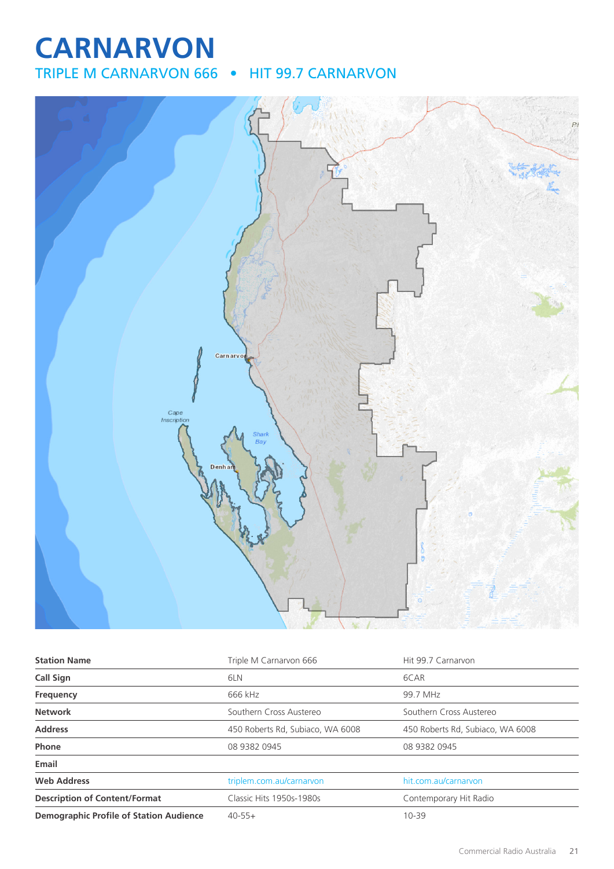# **CARNARVON**

TRIPLE M CARNARVON 666 • HIT 99.7 CARNARVON



| <b>Station Name</b>                            | Triple M Carnarvon 666           | Hit 99.7 Carnaryon               |
|------------------------------------------------|----------------------------------|----------------------------------|
| Call Sign                                      | 6LN                              | 6CAR                             |
| Frequency                                      | 666 kHz                          | 99.7 MHz                         |
| <b>Network</b>                                 | Southern Cross Austereo          | Southern Cross Austereo          |
| <b>Address</b>                                 | 450 Roberts Rd, Subiaco, WA 6008 | 450 Roberts Rd, Subiaco, WA 6008 |
| Phone                                          | 08 9382 0945                     | 08 9382 0945                     |
| Email                                          |                                  |                                  |
| <b>Web Address</b>                             | triplem.com.au/carnarvon         | hit.com.au/carnaryon             |
| <b>Description of Content/Format</b>           | Classic Hits 1950s-1980s         | Contemporary Hit Radio           |
| <b>Demographic Profile of Station Audience</b> | $40 - 55 +$                      | $10 - 39$                        |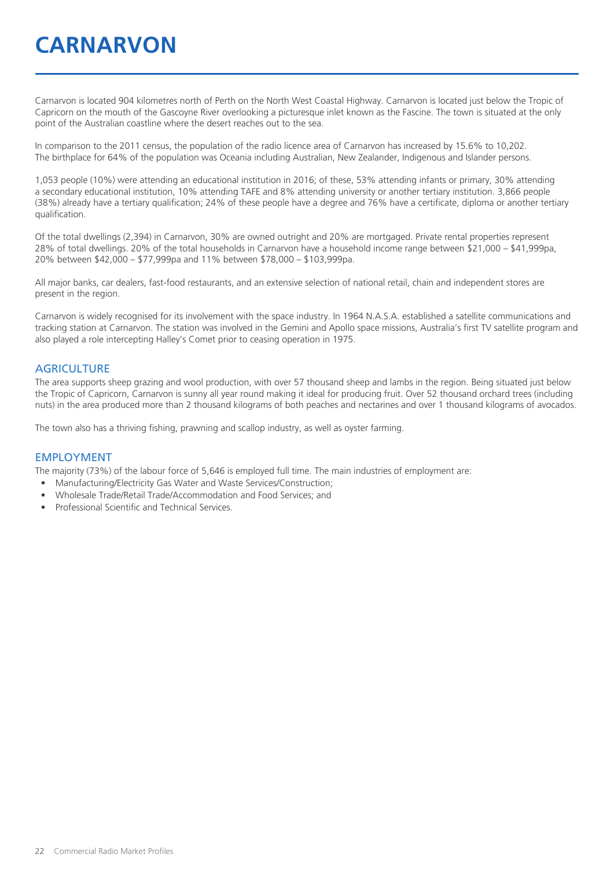# **CARNARVON**

Carnarvon is located 904 kilometres north of Perth on the North West Coastal Highway. Carnarvon is located just below the Tropic of Capricorn on the mouth of the Gascoyne River overlooking a picturesque inlet known as the Fascine. The town is situated at the only point of the Australian coastline where the desert reaches out to the sea.

In comparison to the 2011 census, the population of the radio licence area of Carnarvon has increased by 15.6% to 10,202. The birthplace for 64% of the population was Oceania including Australian, New Zealander, Indigenous and Islander persons.

1,053 people (10%) were attending an educational institution in 2016; of these, 53% attending infants or primary, 30% attending a secondary educational institution, 10% attending TAFE and 8% attending university or another tertiary institution. 3,866 people (38%) already have a tertiary qualification; 24% of these people have a degree and 76% have a certificate, diploma or another tertiary qualification.

Of the total dwellings (2,394) in Carnarvon, 30% are owned outright and 20% are mortgaged. Private rental properties represent 28% of total dwellings. 20% of the total households in Carnarvon have a household income range between \$21,000 – \$41,999pa, 20% between \$42,000 – \$77,999pa and 11% between \$78,000 – \$103,999pa.

All major banks, car dealers, fast-food restaurants, and an extensive selection of national retail, chain and independent stores are present in the region.

Carnarvon is widely recognised for its involvement with the space industry. In 1964 N.A.S.A. established a satellite communications and tracking station at Carnarvon. The station was involved in the Gemini and Apollo space missions, Australia's first TV satellite program and also played a role intercepting Halley's Comet prior to ceasing operation in 1975.

#### **AGRICULTURE**

The area supports sheep grazing and wool production, with over 57 thousand sheep and lambs in the region. Being situated just below the Tropic of Capricorn, Carnarvon is sunny all year round making it ideal for producing fruit. Over 52 thousand orchard trees (including nuts) in the area produced more than 2 thousand kilograms of both peaches and nectarines and over 1 thousand kilograms of avocados.

The town also has a thriving fishing, prawning and scallop industry, as well as oyster farming.

#### EMPLOYMENT

The majority (73%) of the labour force of 5,646 is employed full time. The main industries of employment are:

- Manufacturing/Electricity Gas Water and Waste Services/Construction;
- Wholesale Trade/Retail Trade/Accommodation and Food Services; and
- Professional Scientific and Technical Services.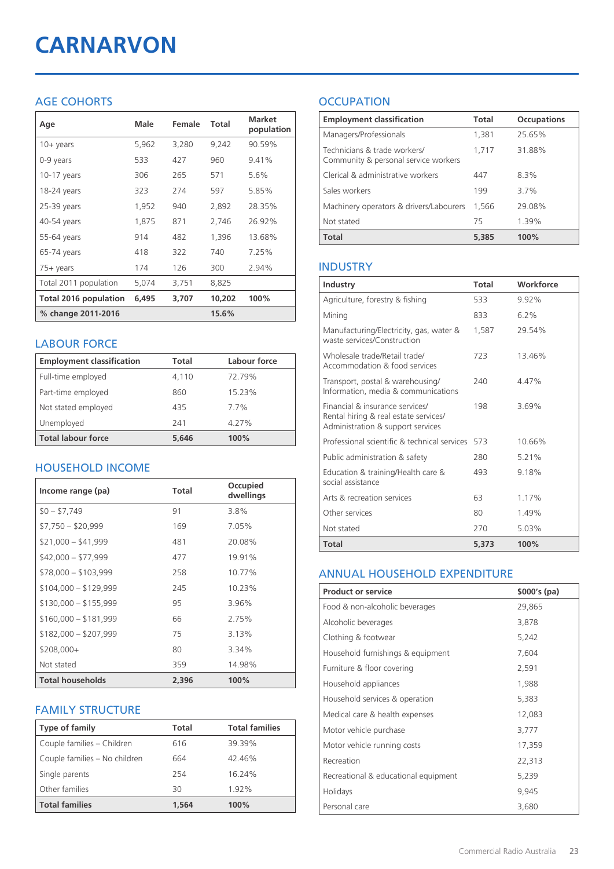# **CARNARVON**

# AGE COHORTS

| Age                   | Male  | Female | Total  | <b>Market</b><br>population |
|-----------------------|-------|--------|--------|-----------------------------|
| $10 + \gamma$ ears    | 5,962 | 3,280  | 9,242  | 90.59%                      |
| 0-9 years             | 533   | 427    | 960    | 9.41%                       |
| $10-17$ years         | 306   | 265    | 571    | 5.6%                        |
| 18-24 years           | 323   | 274    | 597    | 5.85%                       |
| 25-39 years           | 1,952 | 940    | 2,892  | 28.35%                      |
| 40-54 years           | 1,875 | 871    | 2,746  | 26.92%                      |
| 55-64 years           | 914   | 482    | 1.396  | 13.68%                      |
| 65-74 years           | 418   | 322    | 740    | 7.25%                       |
| 75+ years             | 174   | 126    | 300    | 2.94%                       |
| Total 2011 population | 5,074 | 3,751  | 8,825  |                             |
| Total 2016 population | 6,495 | 3,707  | 10,202 | 100%                        |
| % change 2011-2016    |       |        | 15.6%  |                             |

### LABOUR FORCE

| <b>Employment classification</b> | Total | Labour force |
|----------------------------------|-------|--------------|
| Full-time employed               | 4,110 | 72.79%       |
| Part-time employed               | 860   | 15.23%       |
| Not stated employed              | 435   | 7.7%         |
| Unemployed                       | 241   | 4.27%        |
| <b>Total labour force</b>        | 5.646 | 100%         |

# HOUSEHOLD INCOME

| Income range (pa)       | Total | Occupied<br>dwellings |
|-------------------------|-------|-----------------------|
| $$0 - $7,749$           | 91    | 3.8%                  |
| $$7,750 - $20,999$      | 169   | 7.05%                 |
| $$21,000 - $41,999$     | 481   | 20.08%                |
| $$42,000 - $77,999$     | 477   | 19.91%                |
| $$78,000 - $103,999$    | 258   | 10.77%                |
| $$104,000 - $129,999$   | 245   | 10.23%                |
| $$130,000 - $155,999$   | 95    | 3.96%                 |
| $$160,000 - $181,999$   | 66    | 2.75%                 |
| $$182,000 - $207,999$   | 75    | 3.13%                 |
| \$208,000+              | 80    | 3.34%                 |
| Not stated              | 359   | 14.98%                |
| <b>Total households</b> | 2,396 | 100%                  |

### FAMILY STRUCTURE

| <b>Type of family</b>         | Total | <b>Total families</b> |
|-------------------------------|-------|-----------------------|
| Couple families - Children    | 616   | 39.39%                |
| Couple families - No children | 664   | 42.46%                |
| Single parents                | 254   | 16.24%                |
| Other families                | 30    | 1.92%                 |
| <b>Total families</b>         | 1.564 | 100%                  |

# **OCCUPATION**

| <b>Employment classification</b>                                     | <b>Total</b> | <b>Occupations</b> |
|----------------------------------------------------------------------|--------------|--------------------|
| Managers/Professionals                                               | 1,381        | 25.65%             |
| Technicians & trade workers/<br>Community & personal service workers | 1.717        | 31.88%             |
| Clerical & administrative workers                                    | 447          | 8.3%               |
| Sales workers                                                        | 199          | 37%                |
| Machinery operators & drivers/Labourers                              | 1.566        | 29.08%             |
| Not stated                                                           | 75           | 1.39%              |
| <b>Total</b>                                                         | 5,385        | 100%               |

# INDUSTRY

| Industry                                                                                                      | Total | Workforce |
|---------------------------------------------------------------------------------------------------------------|-------|-----------|
| Agriculture, forestry & fishing                                                                               | 533   | 9.92%     |
| Mining                                                                                                        | 833   | 6.2%      |
| Manufacturing/Electricity, gas, water &<br>waste services/Construction                                        | 1.587 | 29.54%    |
| Wholesale trade/Retail trade/<br>Accommodation & food services                                                | 723   | 13.46%    |
| Transport, postal & warehousing/<br>Information, media & communications                                       | 240   | 4.47%     |
| Financial & insurance services/<br>Rental hiring & real estate services/<br>Administration & support services | 198   | 3.69%     |
| Professional scientific & technical services                                                                  | 573   | 10.66%    |
| Public administration & safety                                                                                | 280   | 5.21%     |
| Education & training/Health care &<br>social assistance                                                       | 493   | 9.18%     |
| Arts & recreation services                                                                                    | 63    | 1.17%     |
| Other services                                                                                                | 80    | 1.49%     |
| Not stated                                                                                                    | 270   | 5.03%     |
| Total                                                                                                         | 5.373 | 100%      |

### ANNUAL HOUSEHOLD EXPENDITURE

| <b>Product or service</b>            | $$000's$ (pa) |
|--------------------------------------|---------------|
| Food & non-alcoholic beverages       | 29,865        |
| Alcoholic beverages                  | 3,878         |
| Clothing & footwear                  | 5,242         |
| Household furnishings & equipment    | 7,604         |
| Furniture & floor covering           | 2,591         |
| Household appliances                 | 1,988         |
| Household services & operation       | 5,383         |
| Medical care & health expenses       | 12,083        |
| Motor vehicle purchase               | 3,777         |
| Motor vehicle running costs          | 17,359        |
| Recreation                           | 22,313        |
| Recreational & educational equipment | 5,239         |
| Holidays                             | 9,945         |
| Personal care                        | 3,680         |